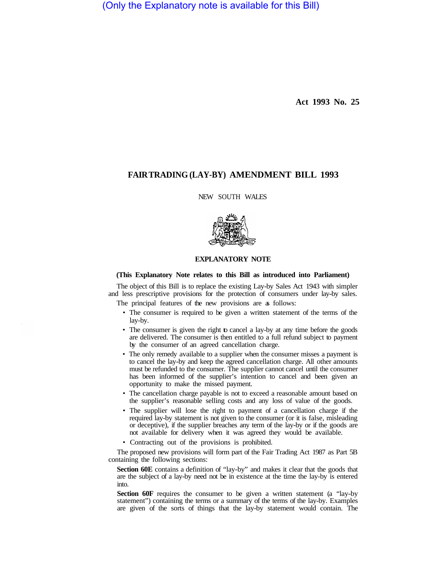(Only the Explanatory note is available for this Bill)

**Act 1993 No. 25** 

## **FAIR TRADING (LAY-BY) AMENDMENT BILL 1993**

NEW SOUTH WALES



## **EXPLANATORY NOTE**

## **(This Explanatory Note relates to this Bill as introduced into Parliament)**

The object of this Bill is to replace the existing Lay-by Sales Act 1943 with simpler and less prescriptive provisions for the protection of consumers under lay-by sales.

The principal features of the new provisions are as follows:

- The consumer is required to be given a written statement of the terms of the lay-by.
- The consumer is given the right to cancel a lay-by at any time before the goods are delivered. The consumer is then entitled to a full refund subject to payment by the consumer of an agreed cancellation charge.
- The only remedy available to a supplier when the consumer misses a payment is to cancel the lay-by and keep the agreed cancellation charge. All other amounts must be refunded to the consumer. The supplier cannot cancel until the consumer has been informed of the supplier's intention to cancel and been given an opportunity to make the missed payment.
- The cancellation charge payable is not to exceed a reasonable amount based on the supplier's reasonable selling costs and any loss of value of the goods.
- The supplier will lose the right to payment of a cancellation charge if the required lay-by statement is not given to the consumer (or it is false, misleading or deceptive), if the supplier breaches any term of the lay-by or if the goods are not available for delivery when it was agreed they would be available.
- Contracting out of the provisions is prohibited.

The proposed new provisions will form part of the Fair Trading Act 1987 as Part 5B containing the following sections:

**Section 60E** contains a definition of "lay-by" and makes it clear that the goods that are the subject of a lay-by need not be in existence at the time the lay-by is entered into.

**Section 60F** requires the consumer to be given a written statement (a "lay-by statement") containing the terms or a summary of the terms of the lay-by. Examples are given of the sorts of things that the lay-by statement would contain. The